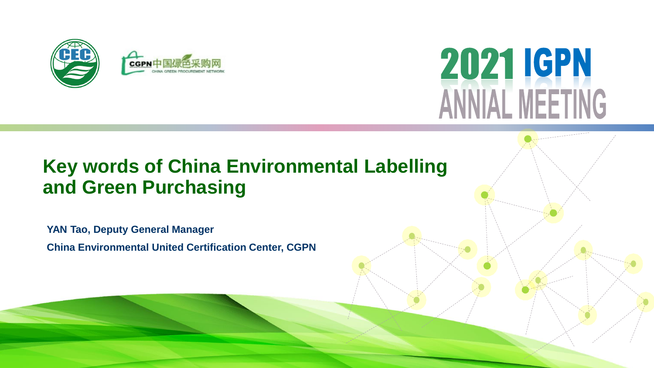



# **Key words of China Environmental Labelling and Green Purchasing**

**YAN Tao, Deputy General Manager China Environmental United Certification Center, CGPN**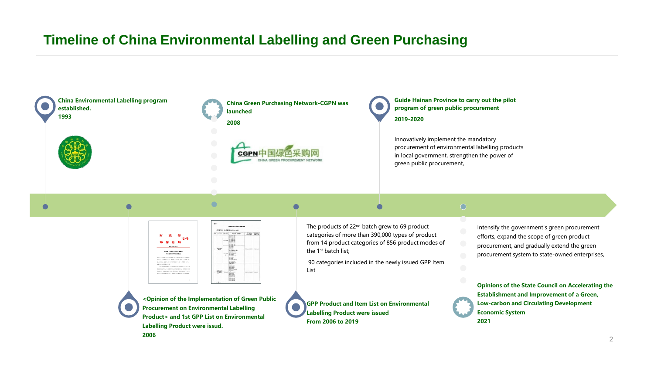## **Timeline of China Environmental Labelling and Green Purchasing**

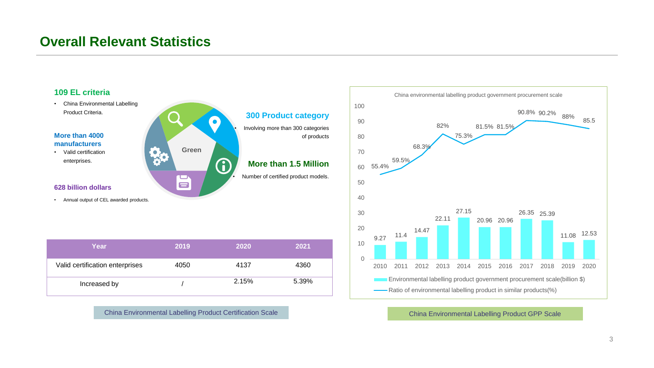## **Overall Relevant Statistics**



China Environmental Labelling Product Certification Scale China Environmental Labelling Product GPP Scale

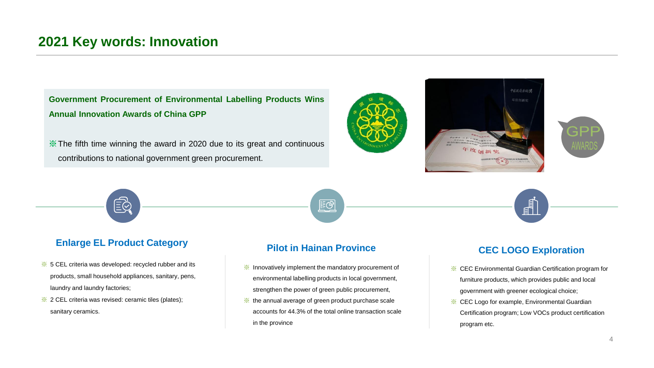### **2021 Key words: Innovation**

**Government Procurement of Environmental Labelling Products Wins Annual Innovation Awards of China GPP**

※The fifth time winning the award in 2020 due to its great and continuous contributions to national government green procurement.





#### **Enlarge EL Product Category**

- ※ 5 CEL criteria was developed: recycled rubber and its products, small household appliances, sanitary, pens, laundry and laundry factories;
- ※ 2 CEL criteria was revised: ceramic tiles (plates); sanitary ceramics.

#### **Pilot in Hainan Province**

堅

- ※ Innovatively implement the mandatory procurement of environmental labelling products in local government, strengthen the power of green public procurement,
- ※ the annual average of green product purchase scale accounts for 44.3% of the total online transaction scale in the province

#### **CEC LOGO Exploration**

F

- ※ CEC Environmental Guardian Certification program for furniture products, which provides public and local government with greener ecological choice;
- ※ CEC Logo for example, Environmental Guardian Certification program; Low VOCs product certification program etc.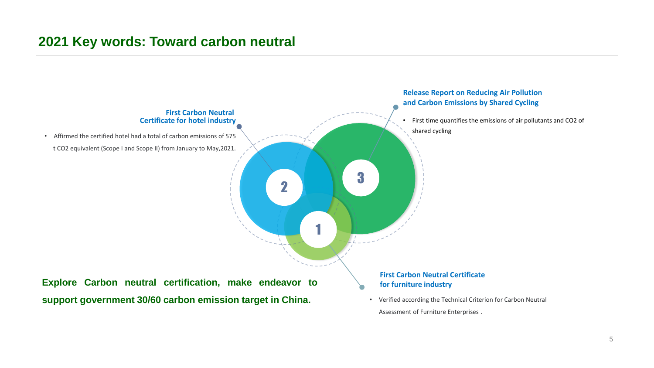### **2021 Key words: Toward carbon neutral**

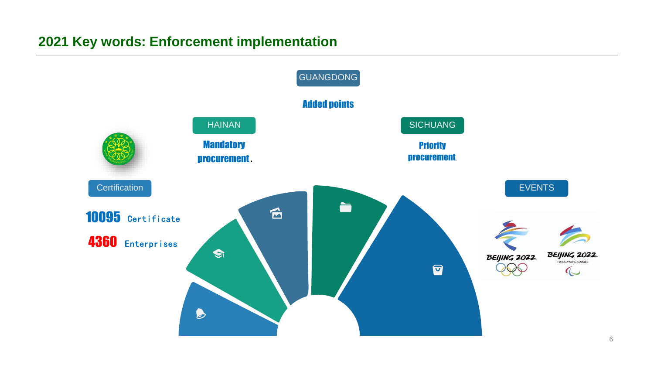# **2021 Key words: Enforcement implementation**

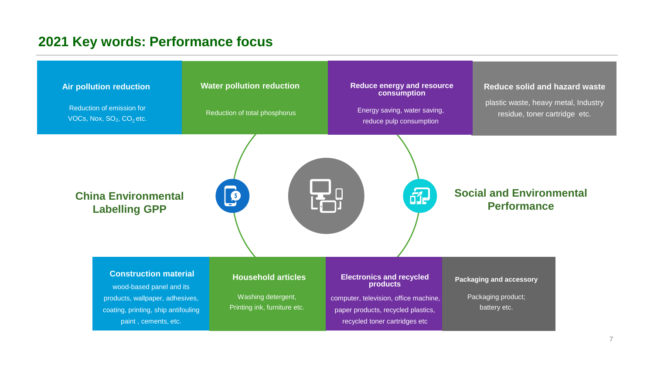# **2021 Key words: Performance focus**

| <b>Air pollution reduction</b><br>Reduction of emission for<br>VOCs, Nox, $SO_2$ , $CO_2$ etc.                                                             | <b>Water pollution reduction</b><br>Reduction of total phosphorus               | <b>Reduce energy and resource</b><br>consumption<br>Energy saving, water saving,<br>reduce pulp consumption                                                 | <b>Reduce solid and hazard waste</b><br>plastic waste, heavy metal, Industry<br>residue, toner cartridge etc. |
|------------------------------------------------------------------------------------------------------------------------------------------------------------|---------------------------------------------------------------------------------|-------------------------------------------------------------------------------------------------------------------------------------------------------------|---------------------------------------------------------------------------------------------------------------|
| <b>China Environmental</b><br><b>Labelling GPP</b>                                                                                                         |                                                                                 | đP                                                                                                                                                          | <b>Social and Environmental</b><br><b>Performance</b>                                                         |
| <b>Construction material</b><br>wood-based panel and its<br>products, wallpaper, adhesives,<br>coating, printing, ship antifouling<br>paint, cements, etc. | <b>Household articles</b><br>Washing detergent,<br>Printing ink, furniture etc. | <b>Electronics and recycled</b><br>products<br>computer, television, office machine,<br>paper products, recycled plastics,<br>recycled toner cartridges etc | <b>Packaging and accessory</b><br>Packaging product;<br>battery etc.                                          |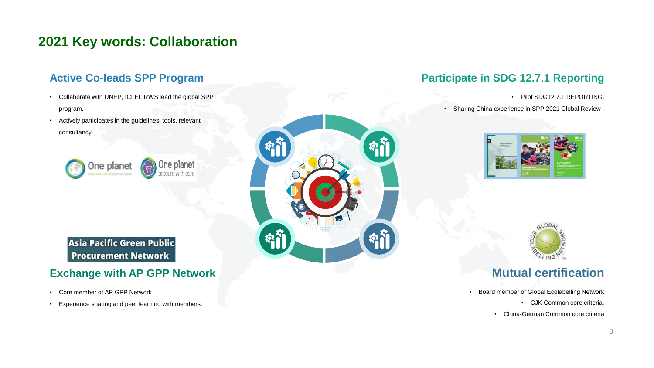# **2021 Key words: Collaboration**

#### **Active Co-leads SPP Program**

- Collaborate with UNEP, ICLEI, RWS lead the global SPP program.
- Actively participates in the guidelines, tools, relevant consultancy



**Asia Pacific Green Public Procurement Network** 

#### **Exchange with AP GPP Network**

- Core member of AP GPP Network
- Experience sharing and peer learning with members.



### **Participate in SDG 12.7.1 Reporting**

- Pilot SDG12.7.1 REPORTING.
- Sharing China experience in SPP 2021 Global Review .





### **Mutual certification**

- Board member of Global Ecolabelling Network
	- CJK Common core criteria.
	- China-German Common core criteria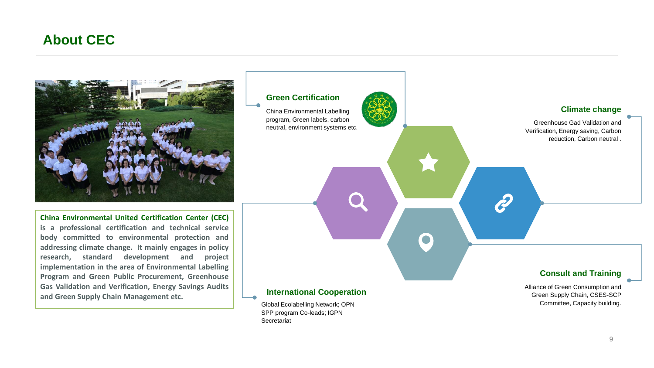### **About CEC**



**China Environmental United Certification Center (CEC) is a professional certification and technical service body committed to environmental protection and addressing climate change. It mainly engages in policy research, standard development and project implementation in the area of Environmental Labelling Program and Green Public Procurement, Greenhouse Gas Validation and Verification, Energy Savings Audits and Green Supply Chain Management etc.**

#### **Green Certification**

China Environmental Labelling program, Green labels, carbon neutral, environment systems etc. **Climate change**

Greenhouse Gad Validation and Verification, Energy saving, Carbon reduction, Carbon neutral .

#### **International Cooperation**

 $\bullet$ 

Global Ecolabelling Network; OPN SPP program Co-leads; IGPN **Secretariat** 

#### **Consult and Training**

Alliance of Green Consumption and Green Supply Chain, CSES-SCP Committee, Capacity building.